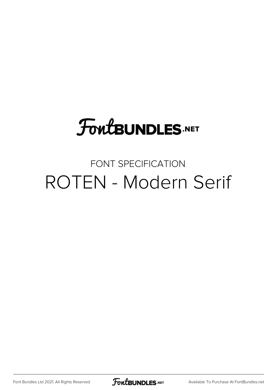# **FoutBUNDLES.NET**

#### FONT SPECIFICATION ROTEN - Modern Serif

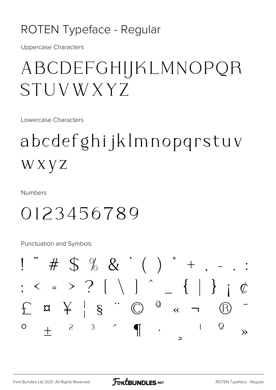#### ROTEN Typeface - Regular

**Uppercase Characters** 

# ABCDEFGHIJKLMNOPQR STUVWXYZ

Lowercase Characters

# abcdefghijklmnopqrstuv WXYZ

**Numbers** 

### 0123456789

**Punctuation and Symbols** 

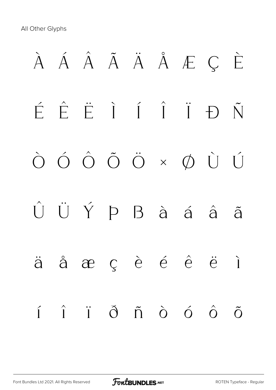All Other Glyphs

# À Á Â Ã Ä Å Æ Ç È É Ê Ë Ì Í Î Ï Ð Ñ Ò Ó Ô Õ Ö × Ø Ù Ú Û Ü Ý Þ ß à á â ã ä å æ ç è é ê ë ì í î ï ð ñ ò ó ô õ